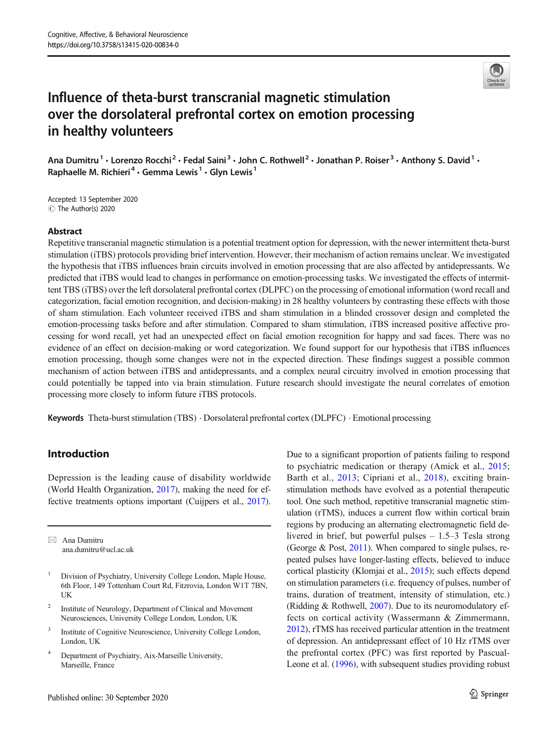

# Influence of theta-burst transcranial magnetic stimulation over the dorsolateral prefrontal cortex on emotion processing in healthy volunteers

Ana Dumitru<sup>1</sup> • Lorenzo Rocchi<sup>2</sup> • Fedal Saini<sup>3</sup> • John C. Rothwell<sup>2</sup> • Jonathan P. Roiser<sup>3</sup> • Anthony S. David<sup>1</sup> • Raphaelle M. Richieri<sup>4</sup>  $\cdot$  Gemma Lewis<sup>1</sup>  $\cdot$  Glyn Lewis<sup>1</sup>

Accepted: 13 September 2020  $\circledcirc$  The Author(s) 2020

## Abstract

Repetitive transcranial magnetic stimulation is a potential treatment option for depression, with the newer intermittent theta-burst stimulation (iTBS) protocols providing brief intervention. However, their mechanism of action remains unclear. We investigated the hypothesis that iTBS influences brain circuits involved in emotion processing that are also affected by antidepressants. We predicted that iTBS would lead to changes in performance on emotion-processing tasks. We investigated the effects of intermittent TBS (iTBS) over the left dorsolateral prefrontal cortex (DLPFC) on the processing of emotional information (word recall and categorization, facial emotion recognition, and decision-making) in 28 healthy volunteers by contrasting these effects with those of sham stimulation. Each volunteer received iTBS and sham stimulation in a blinded crossover design and completed the emotion-processing tasks before and after stimulation. Compared to sham stimulation, iTBS increased positive affective processing for word recall, yet had an unexpected effect on facial emotion recognition for happy and sad faces. There was no evidence of an effect on decision-making or word categorization. We found support for our hypothesis that iTBS influences emotion processing, though some changes were not in the expected direction. These findings suggest a possible common mechanism of action between iTBS and antidepressants, and a complex neural circuitry involved in emotion processing that could potentially be tapped into via brain stimulation. Future research should investigate the neural correlates of emotion processing more closely to inform future iTBS protocols.

Keywords Theta-burst stimulation (TBS) . Dorsolateral prefrontal cortex (DLPFC) . Emotional processing

# Introduction

Depression is the leading cause of disability worldwide (World Health Organization, [2017\)](#page-15-0), making the need for effective treatments options important (Cuijpers et al., [2017\)](#page-13-0).

 $\boxtimes$  Ana Dumitru [ana.dumitru@ucl.ac.uk](mailto:ana.dumitru@ucl.ac.uk)

- <sup>1</sup> Division of Psychiatry, University College London, Maple House, 6th Floor, 149 Tottenham Court Rd, Fitzrovia, London W1T 7BN, UK
- Institute of Neurology, Department of Clinical and Movement Neurosciences, University College London, London, UK
- <sup>3</sup> Institute of Cognitive Neuroscience, University College London, London, UK
- <sup>4</sup> Department of Psychiatry, Aix-Marseille University, Marseille, France

Published online: 30 September 2020

Due to a significant proportion of patients failing to respond to psychiatric medication or therapy (Amick et al., [2015;](#page-12-0) Barth et al., [2013;](#page-13-0) Cipriani et al., [2018](#page-13-0)), exciting brainstimulation methods have evolved as a potential therapeutic tool. One such method, repetitive transcranial magnetic stimulation (rTMS), induces a current flow within cortical brain regions by producing an alternating electromagnetic field delivered in brief, but powerful pulses – 1.5–3 Tesla strong (George & Post, [2011\)](#page-14-0). When compared to single pulses, repeated pulses have longer-lasting effects, believed to induce cortical plasticity (Klomjai et al., [2015\)](#page-14-0); such effects depend on stimulation parameters (i.e. frequency of pulses, number of trains, duration of treatment, intensity of stimulation, etc.) (Ridding & Rothwell, [2007](#page-14-0)). Due to its neuromodulatory effects on cortical activity (Wassermann & Zimmermann, [2012\)](#page-15-0), rTMS has received particular attention in the treatment of depression. An antidepressant effect of 10 Hz rTMS over the prefrontal cortex (PFC) was first reported by Pascual-Leone et al. [\(1996\)](#page-14-0), with subsequent studies providing robust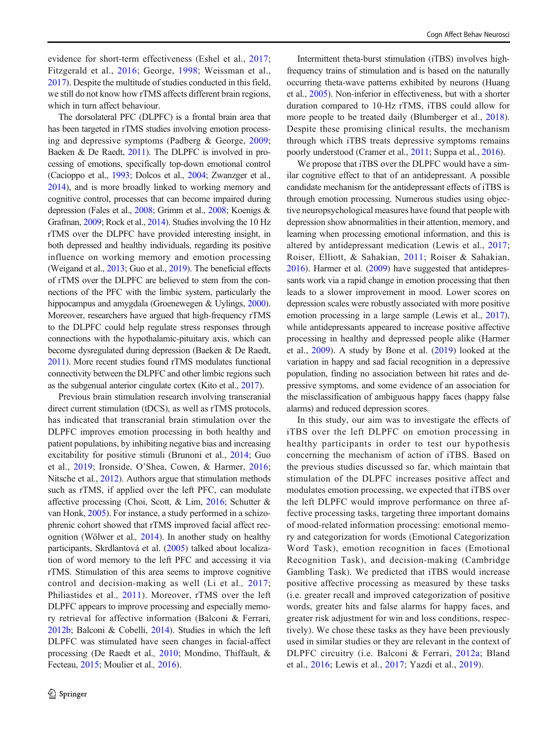evidence for short-term effectiveness (Eshel et al., [2017](#page-13-0); Fitzgerald et al., [2016](#page-13-0); George, [1998](#page-14-0); Weissman et al., [2017\)](#page-15-0). Despite the multitude of studies conducted in this field, we still do not know how rTMS affects different brain regions, which in turn affect behaviour.

The dorsolateral PFC (DLPFC) is a frontal brain area that has been targeted in rTMS studies involving emotion processing and depressive symptoms (Padberg & George, [2009](#page-14-0); Baeken & De Raedt, [2011\)](#page-13-0). The DLPFC is involved in processing of emotions, specifically top-down emotional control (Cacioppo et al., [1993;](#page-13-0) Dolcos et al., [2004;](#page-13-0) Zwanzger et al., [2014](#page-15-0)), and is more broadly linked to working memory and cognitive control, processes that can become impaired during depression (Fales et al., [2008;](#page-13-0) Grimm et al., [2008;](#page-14-0) Koenigs & Grafman, [2009](#page-14-0); Rock et al., [2014\)](#page-14-0). Studies involving the 10 Hz rTMS over the DLPFC have provided interesting insight, in both depressed and healthy individuals, regarding its positive influence on working memory and emotion processing (Weigand et al., [2013](#page-15-0); Guo et al., [2019\)](#page-14-0). The beneficial effects of rTMS over the DLPFC are believed to stem from the connections of the PFC with the limbic system, particularly the hippocampus and amygdala (Groenewegen & Uylings, [2000\)](#page-14-0). Moreover, researchers have argued that high-frequency rTMS to the DLPFC could help regulate stress responses through connections with the hypothalamic-pituitary axis, which can become dysregulated during depression (Baeken & De Raedt, [2011](#page-13-0)). More recent studies found rTMS modulates functional connectivity between the DLPFC and other limbic regions such as the subgenual anterior cingulate cortex (Kito et al., [2017\)](#page-14-0).

Previous brain stimulation research involving transcranial direct current stimulation (tDCS), as well as rTMS protocols, has indicated that transcranial brain stimulation over the DLPFC improves emotion processing in both healthy and patient populations, by inhibiting negative bias and increasing excitability for positive stimuli (Brunoni et al., [2014;](#page-13-0) Guo et al., [2019;](#page-14-0) Ironside, O'Shea, Cowen, & Harmer, [2016](#page-14-0); Nitsche et al., [2012\)](#page-14-0). Authors argue that stimulation methods such as rTMS, if applied over the left PFC, can modulate affective processing (Choi, Scott, & Lim, [2016;](#page-13-0) Schutter & van Honk, [2005](#page-15-0)). For instance, a study performed in a schizophrenic cohort showed that rTMS improved facial affect recognition (Wölwer et al., [2014\)](#page-15-0). In another study on healthy participants, Skrdlantová et al. [\(2005\)](#page-15-0) talked about localization of word memory to the left PFC and accessing it via rTMS. Stimulation of this area seems to improve cognitive control and decision-making as well (Li et al., [2017](#page-14-0); Philiastides et al., [2011](#page-14-0)). Moreover, rTMS over the left DLPFC appears to improve processing and especially memory retrieval for affective information (Balconi & Ferrari, [2012b;](#page-13-0) Balconi & Cobelli, [2014\)](#page-13-0). Studies in which the left DLPFC was stimulated have seen changes in facial-affect processing (De Raedt et al., [2010](#page-13-0); Mondino, Thiffault, & Fecteau, [2015;](#page-14-0) Moulier et al., [2016](#page-14-0)).

Intermittent theta-burst stimulation (iTBS) involves highfrequency trains of stimulation and is based on the naturally occurring theta-wave patterns exhibited by neurons (Huang et al., [2005\)](#page-14-0). Non-inferior in effectiveness, but with a shorter duration compared to 10-Hz rTMS, iTBS could allow for more people to be treated daily (Blumberger et al., [2018\)](#page-13-0). Despite these promising clinical results, the mechanism through which iTBS treats depressive symptoms remains poorly understood (Cramer et al., [2011](#page-13-0); Suppa et al., [2016\)](#page-15-0).

We propose that iTBS over the DLPFC would have a similar cognitive effect to that of an antidepressant. A possible candidate mechanism for the antidepressant effects of iTBS is through emotion processing. Numerous studies using objective neuropsychological measures have found that people with depression show abnormalities in their attention, memory, and learning when processing emotional information, and this is altered by antidepressant medication (Lewis et al., [2017;](#page-14-0) Roiser, Elliott, & Sahakian, [2011](#page-15-0); Roiser & Sahakian, [2016\)](#page-15-0). Harmer et al. ([2009](#page-14-0)) have suggested that antidepressants work via a rapid change in emotion processing that then leads to a slower improvement in mood. Lower scores on depression scales were robustly associated with more positive emotion processing in a large sample (Lewis et al., [2017\)](#page-14-0), while antidepressants appeared to increase positive affective processing in healthy and depressed people alike (Harmer et al., [2009\)](#page-14-0). A study by Bone et al. ([2019\)](#page-13-0) looked at the variation in happy and sad facial recognition in a depressive population, finding no association between hit rates and depressive symptoms, and some evidence of an association for the misclassification of ambiguous happy faces (happy false alarms) and reduced depression scores.

In this study, our aim was to investigate the effects of iTBS over the left DLPFC on emotion processing in healthy participants in order to test our hypothesis concerning the mechanism of action of iTBS. Based on the previous studies discussed so far, which maintain that stimulation of the DLPFC increases positive affect and modulates emotion processing, we expected that iTBS over the left DLPFC would improve performance on three affective processing tasks, targeting three important domains of mood-related information processing: emotional memory and categorization for words (Emotional Categorization Word Task), emotion recognition in faces (Emotional Recognition Task), and decision-making (Cambridge Gambling Task). We predicted that iTBS would increase positive affective processing as measured by these tasks (i.e. greater recall and improved categorization of positive words, greater hits and false alarms for happy faces, and greater risk adjustment for win and loss conditions, respectively). We chose these tasks as they have been previously used in similar studies or they are relevant in the context of DLPFC circuitry (i.e. Balconi & Ferrari, [2012a](#page-13-0); Bland et al., [2016](#page-13-0); Lewis et al., [2017;](#page-14-0) Yazdi et al., [2019\)](#page-15-0).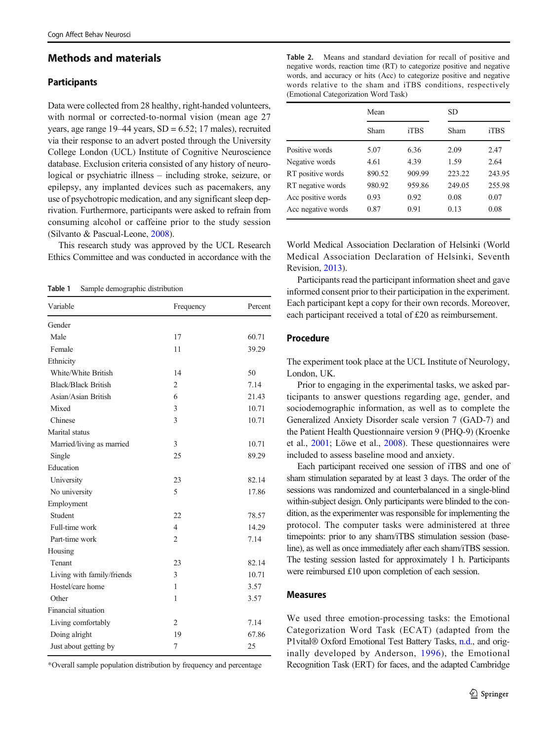# <span id="page-2-0"></span>Methods and materials

## Participants

Data were collected from 28 healthy, right-handed volunteers, with normal or corrected-to-normal vision (mean age 27 years, age range 19–44 years, SD = 6.52; 17 males), recruited via their response to an advert posted through the University College London (UCL) Institute of Cognitive Neuroscience database. Exclusion criteria consisted of any history of neurological or psychiatric illness – including stroke, seizure, or epilepsy, any implanted devices such as pacemakers, any use of psychotropic medication, and any significant sleep deprivation. Furthermore, participants were asked to refrain from consuming alcohol or caffeine prior to the study session (Silvanto & Pascual-Leone, [2008\)](#page-15-0).

This research study was approved by the UCL Research Ethics Committee and was conducted in accordance with the

Table 1 Sample demographic distribution

| Variable                   | Frequency      | Percent |
|----------------------------|----------------|---------|
| Gender                     |                |         |
| Male                       | 17             | 60.71   |
| Female                     | 11             | 39.29   |
| Ethnicity                  |                |         |
| White/White British        | 14             | 50      |
| <b>Black/Black British</b> | 2              | 7.14    |
| Asian/Asian British        | 6              | 21.43   |
| Mixed                      | 3              | 10.71   |
| Chinese                    | 3              | 10.71   |
| Marital status             |                |         |
| Married/living as married  | 3              | 10.71   |
| Single                     | 25             | 89.29   |
| Education                  |                |         |
| University                 | 23             | 82.14   |
| No university              | 5              | 17.86   |
| Employment                 |                |         |
| Student                    | 22             | 78.57   |
| Full-time work             | $\overline{4}$ | 14.29   |
| Part-time work             | $\overline{2}$ | 7.14    |
| Housing                    |                |         |
| Tenant                     | 23             | 82.14   |
| Living with family/friends | 3              | 10.71   |
| Hostel/care home           | 1              | 3.57    |
| Other                      | 1              | 3.57    |
| Financial situation        |                |         |
| Living comfortably         | $\overline{2}$ | 7.14    |
| Doing alright              | 19             | 67.86   |
| Just about getting by      | 7              | 25      |

\*Overall sample population distribution by frequency and percentage

Table 2. Means and standard deviation for recall of positive and negative words, reaction time (RT) to categorize positive and negative words, and accuracy or hits (Acc) to categorize positive and negative words relative to the sham and iTBS conditions, respectively (Emotional Categorization Word Task)

|                    | Mean   |        | <b>SD</b> |        |
|--------------------|--------|--------|-----------|--------|
|                    | Sham   | iTBS   | Sham      | iTBS   |
| Positive words     | 5.07   | 6.36   | 2.09      | 2.47   |
| Negative words     | 4.61   | 4.39   | 1.59      | 2.64   |
| RT positive words  | 890.52 | 909.99 | 223.22    | 243.95 |
| RT negative words  | 980.92 | 959.86 | 249.05    | 255.98 |
| Acc positive words | 0.93   | 0.92   | 0.08      | 0.07   |
| Acc negative words | 0.87   | 0.91   | 0.13      | 0.08   |

World Medical Association Declaration of Helsinki (World Medical Association Declaration of Helsinki, Seventh Revision, [2013](#page-15-0)).

Participants read the participant information sheet and gave informed consent prior to their participation in the experiment. Each participant kept a copy for their own records. Moreover, each participant received a total of £20 as reimbursement.

## Procedure

The experiment took place at the UCL Institute of Neurology, London, UK.

Prior to engaging in the experimental tasks, we asked participants to answer questions regarding age, gender, and sociodemographic information, as well as to complete the Generalized Anxiety Disorder scale version 7 (GAD-7) and the Patient Health Questionnaire version 9 (PHQ-9) (Kroenke et al., [2001;](#page-14-0) Löwe et al., [2008\)](#page-14-0). These questionnaires were included to assess baseline mood and anxiety.

Each participant received one session of iTBS and one of sham stimulation separated by at least 3 days. The order of the sessions was randomized and counterbalanced in a single-blind within-subject design. Only participants were blinded to the condition, as the experimenter was responsible for implementing the protocol. The computer tasks were administered at three timepoints: prior to any sham/iTBS stimulation session (baseline), as well as once immediately after each sham/iTBS session. The testing session lasted for approximately 1 h. Participants were reimbursed £10 upon completion of each session.

## Measures

We used three emotion-processing tasks: the Emotional Categorization Word Task (ECAT) (adapted from the P1vital® Oxford Emotional Test Battery Tasks, [n.d](#page-14-0)., and originally developed by Anderson, [1996\)](#page-12-0), the Emotional Recognition Task (ERT) for faces, and the adapted Cambridge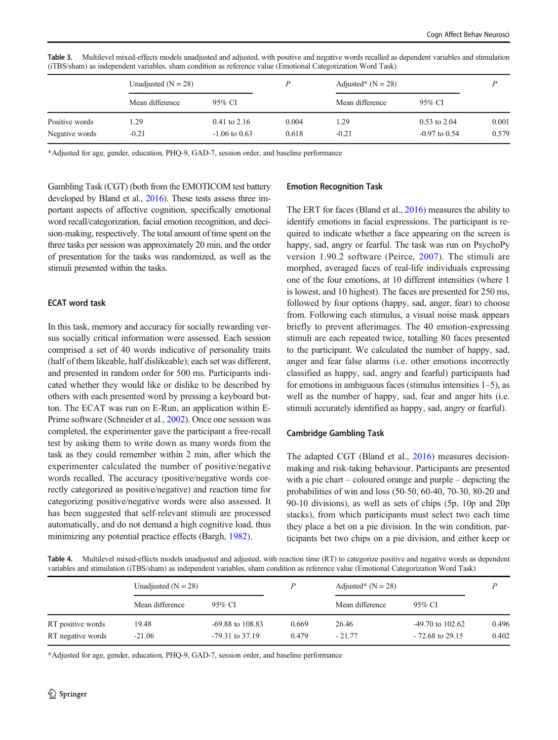|                | Unadjusted $(N = 28)$ |                  |       | Adjusted* $(N = 28)$ |                   |       |
|----------------|-----------------------|------------------|-------|----------------------|-------------------|-------|
|                | Mean difference       | 95% CI           |       | Mean difference      | 95% CI            |       |
| Positive words | l.29                  | $0.41$ to $2.16$ | 0.004 | 1.29                 | $0.53$ to 2.04    | 0.001 |
| Negative words | $-0.21$               | $-1.06$ to 0.63  | 0.618 | $-0.21$              | $-0.97$ to $0.54$ | 0.579 |

<span id="page-3-0"></span>Table 3. Multilevel mixed-effects models unadjusted and adjusted, with positive and negative words recalled as dependent variables and stimulation (iTBS/sham) as independent variables, sham condition as reference value (Emotional Categorization Word Task)

\*Adjusted for age, gender, education, PHQ-9, GAD-7, session order, and baseline performance

Gambling Task (CGT) (both from the EMOTICOM test battery developed by Bland et al., [2016\)](#page-13-0). These tests assess three important aspects of affective cognition, specifically emotional word recall/categorization, facial emotion recognition, and decision-making, respectively. The total amount of time spent on the three tasks per session was approximately 20 min, and the order of presentation for the tasks was randomized, as well as the stimuli presented within the tasks.

#### ECAT word task

In this task, memory and accuracy for socially rewarding versus socially critical information were assessed. Each session comprised a set of 40 words indicative of personality traits (half of them likeable, half dislikeable); each set was different, and presented in random order for 500 ms. Participants indicated whether they would like or dislike to be described by others with each presented word by pressing a keyboard button. The ECAT was run on E-Run, an application within E-Prime software (Schneider et al., [2002\)](#page-15-0). Once one session was completed, the experimenter gave the participant a free-recall test by asking them to write down as many words from the task as they could remember within 2 min, after which the experimenter calculated the number of positive/negative words recalled. The accuracy (positive/negative words correctly categorized as positive/negative) and reaction time for categorizing positive/negative words were also assessed. It has been suggested that self-relevant stimuli are processed automatically, and do not demand a high cognitive load, thus minimizing any potential practice effects (Bargh, [1982\)](#page-13-0).

#### Emotion Recognition Task

The ERT for faces (Bland et al., [2016\)](#page-13-0) measures the ability to identify emotions in facial expressions. The participant is required to indicate whether a face appearing on the screen is happy, sad, angry or fearful. The task was run on PsychoPy version 1.90.2 software (Peirce, [2007](#page-14-0)). The stimuli are morphed, averaged faces of real-life individuals expressing one of the four emotions, at 10 different intensities (where 1 is lowest, and 10 highest). The faces are presented for 250 ms, followed by four options (happy, sad, anger, fear) to choose from. Following each stimulus, a visual noise mask appears briefly to prevent afterimages. The 40 emotion-expressing stimuli are each repeated twice, totalling 80 faces presented to the participant. We calculated the number of happy, sad, anger and fear false alarms (i.e. other emotions incorrectly classified as happy, sad, angry and fearful) participants had for emotions in ambiguous faces (stimulus intensities  $1-5$ ), as well as the number of happy, sad, fear and anger hits (i.e. stimuli accurately identified as happy, sad, angry or fearful).

#### Cambridge Gambling Task

The adapted CGT (Bland et al., [2016\)](#page-13-0) measures decisionmaking and risk-taking behaviour. Participants are presented with a pie chart – coloured orange and purple – depicting the probabilities of win and loss (50-50, 60-40, 70-30, 80-20 and 90-10 divisions), as well as sets of chips (5p, 10p and 20p stacks), from which participants must select two each time they place a bet on a pie division. In the win condition, participants bet two chips on a pie division, and either keep or

Table 4. Multilevel mixed-effects models unadjusted and adjusted, with reaction time (RT) to categorize positive and negative words as dependent variables and stimulation (iTBS/sham) as independent variables, sham condition as reference value (Emotional Categorization Word Task)

|                   | Unadjusted $(N = 28)$ |                      |       | Adjusted* $(N = 28)$ |                   |       |
|-------------------|-----------------------|----------------------|-------|----------------------|-------------------|-------|
|                   | Mean difference       | 95% CI               |       | Mean difference      | 95% CI            |       |
| RT positive words | 19.48                 | $-69.88$ to $108.83$ | 0.669 | 26.46                | -49.70 to 102.62  | 0.496 |
| RT negative words | $-21.06$              | $-79.31$ to 37.19    | 0.479 | $-21.77$             | $-72.68$ to 29.15 | 0.402 |

\*Adjusted for age, gender, education, PHQ-9, GAD-7, session order, and baseline performance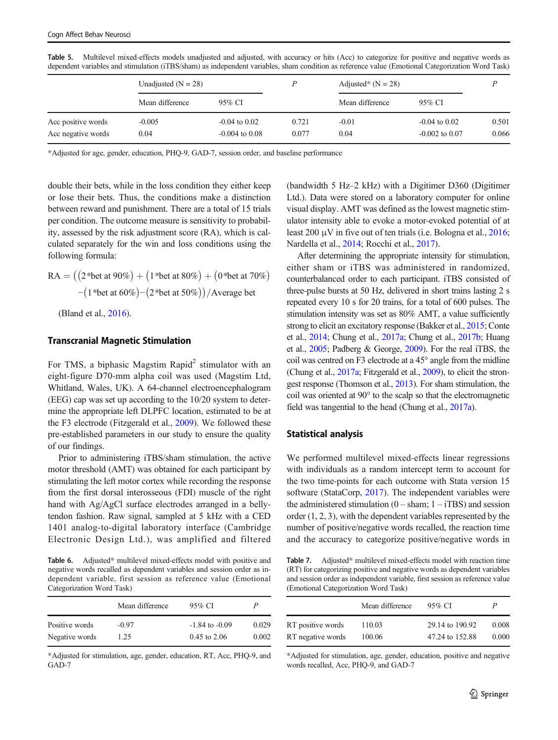|                    | Unadjusted $(N = 28)$ |                    |       | Adjusted* $(N = 28)$ |                    |       |
|--------------------|-----------------------|--------------------|-------|----------------------|--------------------|-------|
|                    | Mean difference       | 95% CI             |       | Mean difference      | 95% CI             |       |
| Acc positive words | $-0.005$              | $-0.04$ to $0.02$  | 0.721 | $-0.01$              | $-0.04$ to $0.02$  | 0.501 |
| Acc negative words | 0.04                  | $-0.004$ to $0.08$ | 0.077 | 0.04                 | $-0.002$ to $0.07$ | 0.066 |

<span id="page-4-0"></span>Table 5. Multilevel mixed-effects models unadjusted and adjusted, with accuracy or hits (Acc) to categorize for positive and negative words as dependent variables and stimulation (iTBS/sham) as independent variables, sham condition as reference value (Emotional Categorization Word Task)

\*Adjusted for age, gender, education, PHQ-9, GAD-7, session order, and baseline performance

double their bets, while in the loss condition they either keep or lose their bets. Thus, the conditions make a distinction between reward and punishment. There are a total of 15 trials per condition. The outcome measure is sensitivity to probability, assessed by the risk adjustment score (RA), which is calculated separately for the win and loss conditions using the following formula:

RA = 
$$
((2 * \text{bet at } 90\%) + (1 * \text{bet at } 80\%) + (0 * \text{bet at } 70\%)
$$
  
-(1 \* \text{bet at } 60\%) - (2 \* \text{bet at } 50\%))/Average bet

(Bland et al., [2016\)](#page-13-0).

## Transcranial Magnetic Stimulation

For TMS, a biphasic Magstim Rapid<sup>2</sup> stimulator with an eight-figure D70-mm alpha coil was used (Magstim Ltd, Whitland, Wales, UK). A 64-channel electroencephalogram (EEG) cap was set up according to the 10/20 system to determine the appropriate left DLPFC location, estimated to be at the F3 electrode (Fitzgerald et al., [2009\)](#page-14-0). We followed these pre-established parameters in our study to ensure the quality of our findings.

Prior to administering iTBS/sham stimulation, the active motor threshold (AMT) was obtained for each participant by stimulating the left motor cortex while recording the response from the first dorsal interosseous (FDI) muscle of the right hand with Ag/AgCl surface electrodes arranged in a bellytendon fashion. Raw signal, sampled at 5 kHz with a CED 1401 analog-to-digital laboratory interface (Cambridge Electronic Design Ltd.), was amplified and filtered

Table 6. Adjusted\* multilevel mixed-effects model with positive and negative words recalled as dependent variables and session order as independent variable, first session as reference value (Emotional Categorization Word Task)

|                | Mean difference | 95% CI             | P     |
|----------------|-----------------|--------------------|-------|
| Positive words | $-0.97$         | $-1.84$ to $-0.09$ | 0.029 |
| Negative words | 1.25            | $0.45$ to 2.06     | 0.002 |

\*Adjusted for stimulation, age, gender, education, RT, Acc, PHQ-9, and GAD-7

(bandwidth 5 Hz–2 kHz) with a Digitimer D360 (Digitimer Ltd.). Data were stored on a laboratory computer for online visual display. AMT was defined as the lowest magnetic stimulator intensity able to evoke a motor-evoked potential of at least 200 μV in five out of ten trials (i.e. Bologna et al., [2016;](#page-13-0) Nardella et al., [2014](#page-14-0); Rocchi et al., [2017](#page-14-0)).

After determining the appropriate intensity for stimulation, either sham or iTBS was administered in randomized, counterbalanced order to each participant. iTBS consisted of three-pulse bursts at 50 Hz, delivered in short trains lasting 2 s repeated every 10 s for 20 trains, for a total of 600 pulses. The stimulation intensity was set as 80% AMT, a value sufficiently strong to elicit an excitatory response (Bakker et al., [2015](#page-13-0); Conte et al., [2014](#page-13-0); Chung et al., [2017a;](#page-13-0) Chung et al., [2017b](#page-13-0); Huang et al., [2005](#page-14-0); Padberg & George, [2009](#page-14-0)). For the real iTBS, the coil was centred on F3 electrode at a 45° angle from the midline (Chung et al., [2017a](#page-13-0); Fitzgerald et al., [2009](#page-14-0)), to elicit the strongest response (Thomson et al., [2013](#page-15-0)). For sham stimulation, the coil was oriented at 90° to the scalp so that the electromagnetic field was tangential to the head (Chung et al., [2017a](#page-13-0)).

#### Statistical analysis

We performed multilevel mixed-effects linear regressions with individuals as a random intercept term to account for the two time-points for each outcome with Stata version 15 software (StataCorp, [2017\)](#page-15-0). The independent variables were the administered stimulation  $(0 - \text{sham}; 1 - \text{iTBS})$  and session order (1, 2, 3), with the dependent variables represented by the number of positive/negative words recalled, the reaction time and the accuracy to categorize positive/negative words in

Table 7. Adjusted\* multilevel mixed-effects model with reaction time (RT) for categorizing positive and negative words as dependent variables and session order as independent variable, first session as reference value (Emotional Categorization Word Task)

|                   | Mean difference | 95% CI          | P     |
|-------------------|-----------------|-----------------|-------|
| RT positive words | 110.03          | 29.14 to 190.92 | 0.008 |
| RT negative words | 100.06          | 47.24 to 152.88 | 0.000 |

\*Adjusted for stimulation, age, gender, education, positive and negative words recalled, Acc, PHQ-9, and GAD-7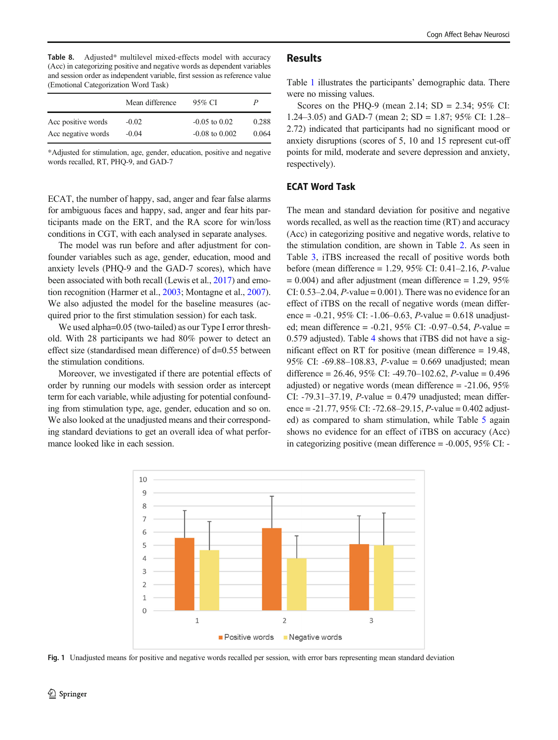<span id="page-5-0"></span>Table 8. Adjusted\* multilevel mixed-effects model with accuracy (Acc) in categorizing positive and negative words as dependent variables and session order as independent variable, first session as reference value (Emotional Categorization Word Task)

|                    | Mean difference | 95% CI             | P     |
|--------------------|-----------------|--------------------|-------|
| Acc positive words | $-0.02$         | $-0.05$ to $0.02$  | 0.288 |
| Acc negative words | $-0.04$         | $-0.08$ to $0.002$ | 0.064 |

\*Adjusted for stimulation, age, gender, education, positive and negative words recalled, RT, PHQ-9, and GAD-7

ECAT, the number of happy, sad, anger and fear false alarms for ambiguous faces and happy, sad, anger and fear hits participants made on the ERT, and the RA score for win/loss conditions in CGT, with each analysed in separate analyses.

The model was run before and after adjustment for confounder variables such as age, gender, education, mood and anxiety levels (PHQ-9 and the GAD-7 scores), which have been associated with both recall (Lewis et al., [2017](#page-14-0)) and emotion recognition (Harmer et al., [2003](#page-14-0); Montagne et al., [2007\)](#page-14-0). We also adjusted the model for the baseline measures (acquired prior to the first stimulation session) for each task.

We used alpha=0.05 (two-tailed) as our Type I error threshold. With 28 participants we had 80% power to detect an effect size (standardised mean difference) of d=0.55 between the stimulation conditions.

Moreover, we investigated if there are potential effects of order by running our models with session order as intercept term for each variable, while adjusting for potential confounding from stimulation type, age, gender, education and so on. We also looked at the unadjusted means and their corresponding standard deviations to get an overall idea of what performance looked like in each session.

## Results

Table [1](#page-2-0) illustrates the participants' demographic data. There were no missing values.

Scores on the PHQ-9 (mean 2.14;  $SD = 2.34$ ; 95% CI: 1.24–3.05) and GAD-7 (mean 2; SD = 1.87; 95% CI: 1.28– 2.72) indicated that participants had no significant mood or anxiety disruptions (scores of 5, 10 and 15 represent cut-off points for mild, moderate and severe depression and anxiety, respectively).

#### ECAT Word Task

The mean and standard deviation for positive and negative words recalled, as well as the reaction time (RT) and accuracy (Acc) in categorizing positive and negative words, relative to the stimulation condition, are shown in Table [2.](#page-2-0) As seen in Table [3](#page-3-0), iTBS increased the recall of positive words both before (mean difference = 1.29, 95% CI: 0.41–2.16, P-value  $= 0.004$ ) and after adjustment (mean difference  $= 1.29, 95\%$ CI:  $0.53-2.04$ ,  $P$ -value =  $0.001$ ). There was no evidence for an effect of iTBS on the recall of negative words (mean difference =  $-0.21$ , 95% CI:  $-1.06 - 0.63$ , *P*-value = 0.618 unadjusted; mean difference = -0.21, 95% CI: -0.97–0.54, P-value = 0.579 adjusted). Table [4](#page-3-0) shows that iTBS did not have a significant effect on RT for positive (mean difference = 19.48, 95% CI: -69.88–108.83, P-value = 0.669 unadjusted; mean difference =  $26.46$ ,  $95\%$  CI: -49.70–102.62, *P*-value = 0.496 adjusted) or negative words (mean difference = -21.06, 95% CI: -79.31-37.19,  $P$ -value = 0.479 unadjusted; mean difference =  $-21.77$ , 95% CI:  $-72.68-29.15$ , *P*-value = 0.402 adjusted) as compared to sham stimulation, while Table [5](#page-4-0) again shows no evidence for an effect of iTBS on accuracy (Acc) in categorizing positive (mean difference = -0.005, 95% CI: -



Fig. 1 Unadjusted means for positive and negative words recalled per session, with error bars representing mean standard deviation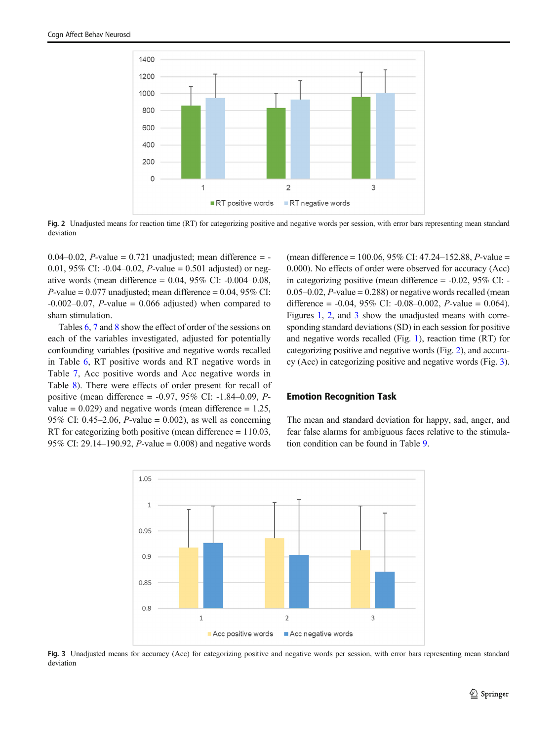<span id="page-6-0"></span>

Fig. 2 Unadjusted means for reaction time (RT) for categorizing positive and negative words per session, with error bars representing mean standard deviation

0.04–0.02, *P*-value = 0.721 unadjusted; mean difference = -0.01, 95% CI: -0.04–0.02, *P*-value = 0.501 adjusted) or negative words (mean difference =  $0.04$ ,  $95\%$  CI:  $-0.004 - 0.08$ ,  $P$ -value = 0.077 unadjusted; mean difference = 0.04, 95% CI:  $-0.002-0.07$ , P-value = 0.066 adjusted) when compared to sham stimulation.

Tables [6](#page-4-0), [7](#page-4-0) and [8](#page-5-0) show the effect of order of the sessions on each of the variables investigated, adjusted for potentially confounding variables (positive and negative words recalled in Table [6](#page-4-0), RT positive words and RT negative words in Table [7](#page-4-0), Acc positive words and Acc negative words in Table [8](#page-5-0)). There were effects of order present for recall of positive (mean difference = -0.97, 95% CI: -1.84–0.09, Pvalue =  $0.029$ ) and negative words (mean difference =  $1.25$ , 95% CI: 0.45–2.06, *P*-value = 0.002), as well as concerning RT for categorizing both positive (mean difference = 110.03, 95% CI: 29.14–190.92, *P*-value = 0.008) and negative words (mean difference = 100.06, 95% CI: 47.24–152.88, P-value = 0.000). No effects of order were observed for accuracy (Acc) in categorizing positive (mean difference = -0.02, 95% CI: -  $0.05-0.02$ , *P*-value = 0.288) or negative words recalled (mean difference =  $-0.04$ , 95% CI:  $-0.08 - 0.002$ , *P*-value = 0.064). Figures [1,](#page-5-0) 2, and 3 show the unadjusted means with corresponding standard deviations (SD) in each session for positive and negative words recalled (Fig. [1](#page-5-0)), reaction time (RT) for categorizing positive and negative words (Fig. 2), and accuracy (Acc) in categorizing positive and negative words (Fig. 3).

#### Emotion Recognition Task

The mean and standard deviation for happy, sad, anger, and fear false alarms for ambiguous faces relative to the stimulation condition can be found in Table [9](#page-7-0).



Fig. 3 Unadjusted means for accuracy (Acc) for categorizing positive and negative words per session, with error bars representing mean standard deviation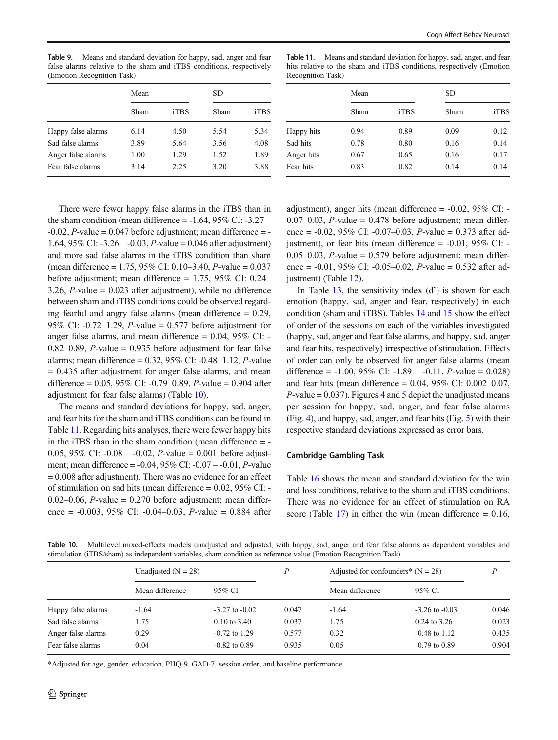<span id="page-7-0"></span>Table 9. Means and standard deviation for happy, sad, anger and fear false alarms relative to the sham and iTBS conditions, respectively (Emotion Recognition Task)

|                    | Mean |      | SD.  |             |  |
|--------------------|------|------|------|-------------|--|
|                    | Sham | iTBS | Sham | <b>iTBS</b> |  |
| Happy false alarms | 6.14 | 4.50 | 5.54 | 5.34        |  |
| Sad false alarms   | 3.89 | 5.64 | 3.56 | 4.08        |  |
| Anger false alarms | 1.00 | 1.29 | 1.52 | 1.89        |  |
| Fear false alarms  | 3.14 | 2.25 | 3.20 | 3.88        |  |

Table 11. Means and standard deviation for happy, sad, anger, and fear hits relative to the sham and iTBS conditions, respectively (Emotion Recognition Task)

|            | Mean |             | SD   |             |
|------------|------|-------------|------|-------------|
|            | Sham | <b>iTBS</b> | Sham | <b>iTBS</b> |
| Happy hits | 0.94 | 0.89        | 0.09 | 0.12        |
| Sad hits   | 0.78 | 0.80        | 0.16 | 0.14        |
| Anger hits | 0.67 | 0.65        | 0.16 | 0.17        |
| Fear hits  | 0.83 | 0.82        | 0.14 | 0.14        |

There were fewer happy false alarms in the iTBS than in the sham condition (mean difference  $= -1.64$ , 95% CI:  $-3.27$  –  $-0.02$ , *P*-value = 0.047 before adjustment; mean difference =  $-$ 1.64,  $95\%$  CI:  $-3.26 - -0.03$ , *P*-value = 0.046 after adjustment) and more sad false alarms in the iTBS condition than sham (mean difference = 1.75, 95% CI: 0.10–3.40, P-value = 0.037 before adjustment; mean difference = 1.75, 95% CI: 0.24– 3.26,  $P$ -value = 0.023 after adjustment), while no difference between sham and iTBS conditions could be observed regarding fearful and angry false alarms (mean difference = 0.29, 95% CI: -0.72–1.29, P-value = 0.577 before adjustment for anger false alarms, and mean difference = 0.04, 95% CI: - 0.82–0.89,  $P$ -value = 0.935 before adjustment for fear false alarms; mean difference = 0.32, 95% CI: -0.48–1.12, P-value  $= 0.435$  after adjustment for anger false alarms, and mean difference =  $0.05$ , 95% CI: -0.79–0.89, *P*-value = 0.904 after adjustment for fear false alarms) (Table 10).

The means and standard deviations for happy, sad, anger, and fear hits for the sham and iTBS conditions can be found in Table 11. Regarding hits analyses, there were fewer happy hits in the iTBS than in the sham condition (mean difference = - 0.05, 95% CI:  $-0.08 - 0.02$ , *P*-value = 0.001 before adjustment; mean difference = -0.04, 95% CI: -0.07 – -0.01, P-value  $= 0.008$  after adjustment). There was no evidence for an effect of stimulation on sad hits (mean difference  $= 0.02$ , 95% CI: -0.02–0.06, *P*-value = 0.270 before adjustment; mean difference =  $-0.003$ , 95% CI:  $-0.04 - 0.03$ , P-value = 0.884 after

adjustment), anger hits (mean difference = -0.02, 95% CI: - 0.07–0.03, *P*-value =  $0.478$  before adjustment; mean difference =  $-0.02$ , 95% CI:  $-0.07 - 0.03$ , *P*-value = 0.373 after adjustment), or fear hits (mean difference  $= -0.01, 95\%$  CI: 0.05–0.03, *P*-value = 0.579 before adjustment; mean difference =  $-0.01$ , 95% CI:  $-0.05-0.02$ , *P*-value = 0.532 after adjustment) (Table [12\)](#page-8-0).

In Table  $13$ , the sensitivity index  $(d')$  is shown for each emotion (happy, sad, anger and fear, respectively) in each condition (sham and iTBS). Tables [14](#page-8-0) and [15](#page-9-0) show the effect of order of the sessions on each of the variables investigated (happy, sad, anger and fear false alarms, and happy, sad, anger and fear hits, respectively) irrespective of stimulation. Effects of order can only be observed for anger false alarms (mean difference =  $-1.00$ , 95% CI:  $-1.89 - 0.11$ , *P*-value = 0.028) and fear hits (mean difference =  $0.04$ ,  $95\%$  CI:  $0.002 - 0.07$ ,  $P$ -value = 0.037). Figures [4](#page-9-0) and [5](#page-10-0) depict the unadjusted means per session for happy, sad, anger, and fear false alarms (Fig. [4\)](#page-9-0), and happy, sad, anger, and fear hits (Fig. [5](#page-10-0)) with their respective standard deviations expressed as error bars.

#### Cambridge Gambling Task

Table [16](#page-10-0) shows the mean and standard deviation for the win and loss conditions, relative to the sham and iTBS conditions. There was no evidence for an effect of stimulation on RA score (Table  $17$ ) in either the win (mean difference = 0.16,

Table 10. Multilevel mixed-effects models unadjusted and adjusted, with happy, sad, anger and fear false alarms as dependent variables and stimulation (iTBS/sham) as independent variables, sham condition as reference value (Emotion Recognition Task)

|                    | Unadjusted $(N = 28)$ |                         | P     | Adjusted for confounders* $(N = 28)$ |                    | P     |
|--------------------|-----------------------|-------------------------|-------|--------------------------------------|--------------------|-------|
|                    | Mean difference       | 95% CI                  |       | Mean difference                      | 95% CI             |       |
| Happy false alarms | $-1.64$               | $-3.27$ to $-0.02$      | 0.047 | $-1.64$                              | $-3.26$ to $-0.03$ | 0.046 |
| Sad false alarms   | 1.75                  | $0.10 \text{ to } 3.40$ | 0.037 | 1.75                                 | $0.24$ to 3.26     | 0.023 |
| Anger false alarms | 0.29                  | $-0.72$ to 1.29         | 0.577 | 0.32                                 | $-0.48$ to $1.12$  | 0.435 |
| Fear false alarms  | 0.04                  | $-0.82$ to $0.89$       | 0.935 | 0.05                                 | $-0.79$ to $0.89$  | 0.904 |

\*Adjusted for age, gender, education, PHQ-9, GAD-7, session order, and baseline performance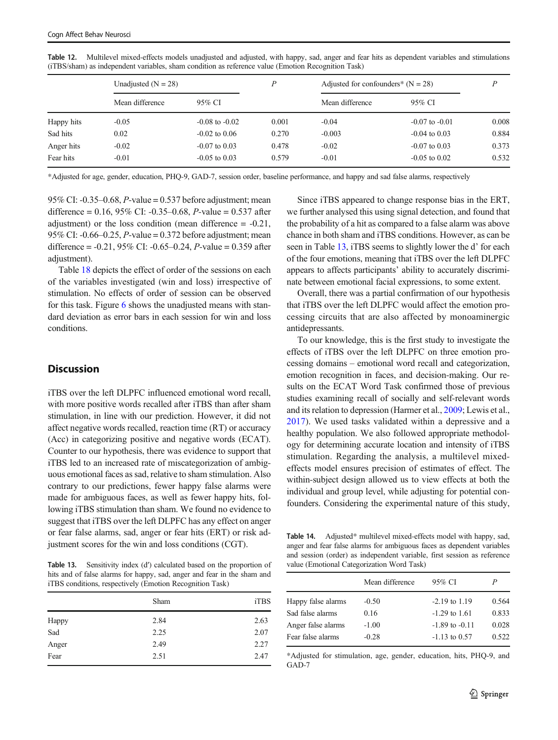|            | Unadjusted $(N = 28)$ |                    | D     |                 | Adjusted for confounders* $(N = 28)$ |       |
|------------|-----------------------|--------------------|-------|-----------------|--------------------------------------|-------|
|            | Mean difference       | 95% CI             |       | Mean difference | 95% CI                               |       |
| Happy hits | $-0.05$               | $-0.08$ to $-0.02$ | 0.001 | $-0.04$         | $-0.07$ to $-0.01$                   | 0.008 |
| Sad hits   | 0.02                  | $-0.02$ to $0.06$  | 0.270 | $-0.003$        | $-0.04$ to $0.03$                    | 0.884 |
| Anger hits | $-0.02$               | $-0.07$ to $0.03$  | 0.478 | $-0.02$         | $-0.07$ to $0.03$                    | 0.373 |
| Fear hits  | $-0.01$               | $-0.05$ to $0.03$  | 0.579 | $-0.01$         | $-0.05$ to $0.02$                    | 0.532 |

<span id="page-8-0"></span>Table 12. Multilevel mixed-effects models unadjusted and adjusted, with happy, sad, anger and fear hits as dependent variables and stimulations (iTBS/sham) as independent variables, sham condition as reference value (Emotion Recognition Task)

\*Adjusted for age, gender, education, PHQ-9, GAD-7, session order, baseline performance, and happy and sad false alarms, respectively

95% CI: -0.35–0.68, P-value = 0.537 before adjustment; mean difference =  $0.16$ , 95% CI:  $-0.35-0.68$ , *P*-value =  $0.537$  after adjustment) or the loss condition (mean difference = -0.21, 95% CI: -0.66–0.25, P-value = 0.372 before adjustment; mean difference =  $-0.21$ , 95% CI:  $-0.65-0.24$ , *P*-value = 0.359 after adjustment).

Table [18](#page-11-0) depicts the effect of order of the sessions on each of the variables investigated (win and loss) irrespective of stimulation. No effects of order of session can be observed for this task. Figure [6](#page-12-0) shows the unadjusted means with standard deviation as error bars in each session for win and loss conditions.

# **Discussion**

iTBS over the left DLPFC influenced emotional word recall, with more positive words recalled after iTBS than after sham stimulation, in line with our prediction. However, it did not affect negative words recalled, reaction time (RT) or accuracy (Acc) in categorizing positive and negative words (ECAT). Counter to our hypothesis, there was evidence to support that iTBS led to an increased rate of miscategorization of ambiguous emotional faces as sad, relative to sham stimulation. Also contrary to our predictions, fewer happy false alarms were made for ambiguous faces, as well as fewer happy hits, following iTBS stimulation than sham. We found no evidence to suggest that iTBS over the left DLPFC has any effect on anger or fear false alarms, sad, anger or fear hits (ERT) or risk adjustment scores for the win and loss conditions (CGT).

Table 13. Sensitivity index (d') calculated based on the proportion of hits and of false alarms for happy, sad, anger and fear in the sham and iTBS conditions, respectively (Emotion Recognition Task)

|       | Sham | <b>iTBS</b> |
|-------|------|-------------|
| Happy | 2.84 | 2.63        |
| Sad   | 2.25 | 2.07        |
| Anger | 2.49 | 2.27        |
| Fear  | 2.51 | 2.47        |

Since iTBS appeared to change response bias in the ERT, we further analysed this using signal detection, and found that the probability of a hit as compared to a false alarm was above chance in both sham and iTBS conditions. However, as can be seen in Table 13, iTBS seems to slightly lower the d' for each of the four emotions, meaning that iTBS over the left DLPFC appears to affects participants' ability to accurately discriminate between emotional facial expressions, to some extent.

Overall, there was a partial confirmation of our hypothesis that iTBS over the left DLPFC would affect the emotion processing circuits that are also affected by monoaminergic antidepressants.

To our knowledge, this is the first study to investigate the effects of iTBS over the left DLPFC on three emotion processing domains – emotional word recall and categorization, emotion recognition in faces, and decision-making. Our results on the ECAT Word Task confirmed those of previous studies examining recall of socially and self-relevant words and its relation to depression (Harmer et al., [2009;](#page-14-0) Lewis et al., [2017](#page-14-0)). We used tasks validated within a depressive and a healthy population. We also followed appropriate methodology for determining accurate location and intensity of iTBS stimulation. Regarding the analysis, a multilevel mixedeffects model ensures precision of estimates of effect. The within-subject design allowed us to view effects at both the individual and group level, while adjusting for potential confounders. Considering the experimental nature of this study,

Table 14. Adjusted\* multilevel mixed-effects model with happy, sad, anger and fear false alarms for ambiguous faces as dependent variables and session (order) as independent variable, first session as reference value (Emotional Categorization Word Task)

|                    | Mean difference | 95% CI             | Р     |
|--------------------|-----------------|--------------------|-------|
| Happy false alarms | $-0.50$         | $-2.19$ to $1.19$  | 0.564 |
| Sad false alarms   | 0.16            | $-1.29$ to 1.61    | 0.833 |
| Anger false alarms | $-1.00$         | $-1.89$ to $-0.11$ | 0.028 |
| Fear false alarms  | $-0.28$         | $-1.13$ to 0.57    | 0.522 |
|                    |                 |                    |       |

\*Adjusted for stimulation, age, gender, education, hits, PHQ-9, and GAD-7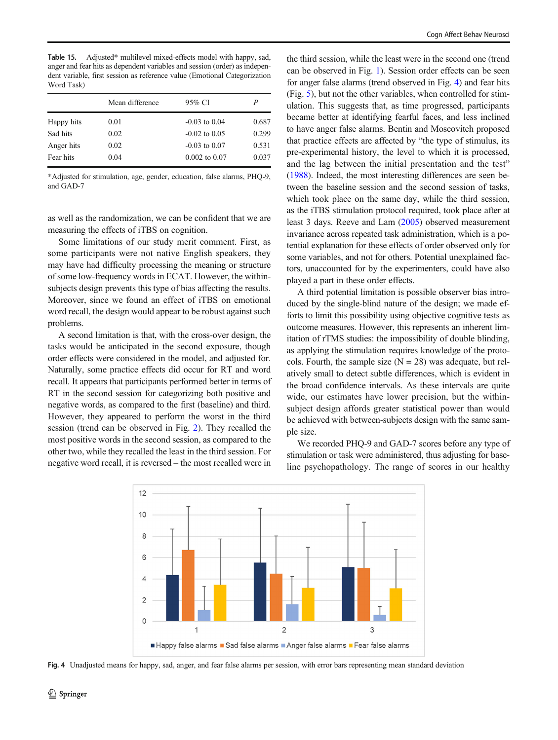<span id="page-9-0"></span>Table 15. Adjusted\* multilevel mixed-effects model with happy, sad, anger and fear hits as dependent variables and session (order) as independent variable, first session as reference value (Emotional Categorization Word Task)

|            | Mean difference | 95% CI            | P     |
|------------|-----------------|-------------------|-------|
| Happy hits | 0.01            | $-0.03$ to $0.04$ | 0.687 |
| Sad hits   | 0.02            | $-0.02$ to $0.05$ | 0.299 |
| Anger hits | 0.02            | $-0.03$ to $0.07$ | 0.531 |
| Fear hits  | 0.04            | $0.002$ to $0.07$ | 0.037 |

\*Adjusted for stimulation, age, gender, education, false alarms, PHQ-9, and GAD-7

as well as the randomization, we can be confident that we are measuring the effects of iTBS on cognition.

Some limitations of our study merit comment. First, as some participants were not native English speakers, they may have had difficulty processing the meaning or structure of some low-frequency words in ECAT. However, the withinsubjects design prevents this type of bias affecting the results. Moreover, since we found an effect of iTBS on emotional word recall, the design would appear to be robust against such problems.

A second limitation is that, with the cross-over design, the tasks would be anticipated in the second exposure, though order effects were considered in the model, and adjusted for. Naturally, some practice effects did occur for RT and word recall. It appears that participants performed better in terms of RT in the second session for categorizing both positive and negative words, as compared to the first (baseline) and third. However, they appeared to perform the worst in the third session (trend can be observed in Fig. [2](#page-6-0)). They recalled the most positive words in the second session, as compared to the other two, while they recalled the least in the third session. For negative word recall, it is reversed – the most recalled were in

the third session, while the least were in the second one (trend can be observed in Fig. [1](#page-5-0)). Session order effects can be seen for anger false alarms (trend observed in Fig. 4) and fear hits (Fig. [5\)](#page-10-0), but not the other variables, when controlled for stimulation. This suggests that, as time progressed, participants became better at identifying fearful faces, and less inclined to have anger false alarms. Bentin and Moscovitch proposed that practice effects are affected by "the type of stimulus, its pre-experimental history, the level to which it is processed, and the lag between the initial presentation and the test" [\(1988\)](#page-13-0). Indeed, the most interesting differences are seen between the baseline session and the second session of tasks, which took place on the same day, while the third session, as the iTBS stimulation protocol required, took place after at least 3 days. Reeve and Lam [\(2005\)](#page-14-0) observed measurement invariance across repeated task administration, which is a potential explanation for these effects of order observed only for some variables, and not for others. Potential unexplained factors, unaccounted for by the experimenters, could have also played a part in these order effects.

A third potential limitation is possible observer bias introduced by the single-blind nature of the design; we made efforts to limit this possibility using objective cognitive tests as outcome measures. However, this represents an inherent limitation of rTMS studies: the impossibility of double blinding, as applying the stimulation requires knowledge of the protocols. Fourth, the sample size  $(N = 28)$  was adequate, but relatively small to detect subtle differences, which is evident in the broad confidence intervals. As these intervals are quite wide, our estimates have lower precision, but the withinsubject design affords greater statistical power than would be achieved with between-subjects design with the same sample size.

We recorded PHQ-9 and GAD-7 scores before any type of stimulation or task were administered, thus adjusting for baseline psychopathology. The range of scores in our healthy



Fig. 4 Unadjusted means for happy, sad, anger, and fear false alarms per session, with error bars representing mean standard deviation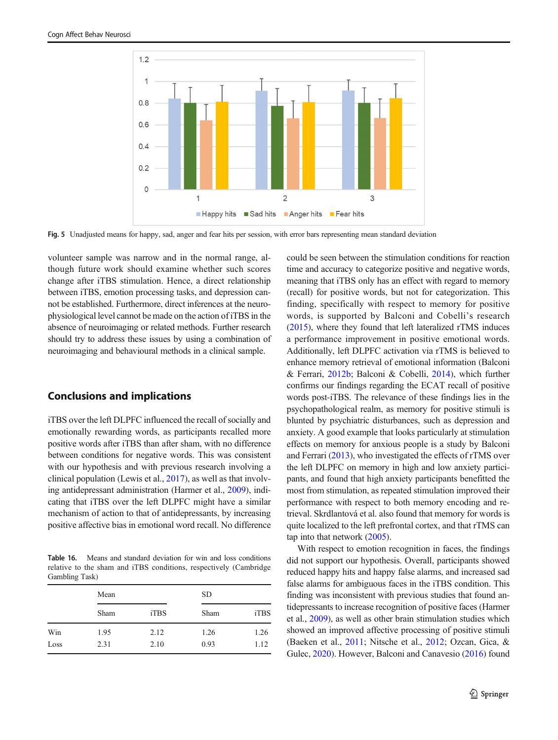<span id="page-10-0"></span>

Fig. 5 Unadjusted means for happy, sad, anger and fear hits per session, with error bars representing mean standard deviation

volunteer sample was narrow and in the normal range, although future work should examine whether such scores change after iTBS stimulation. Hence, a direct relationship between iTBS, emotion processing tasks, and depression cannot be established. Furthermore, direct inferences at the neurophysiological level cannot be made on the action of iTBS in the absence of neuroimaging or related methods. Further research should try to address these issues by using a combination of neuroimaging and behavioural methods in a clinical sample.

## Conclusions and implications

iTBS over the left DLPFC influenced the recall of socially and emotionally rewarding words, as participants recalled more positive words after iTBS than after sham, with no difference between conditions for negative words. This was consistent with our hypothesis and with previous research involving a clinical population (Lewis et al., [2017](#page-14-0)), as well as that involving antidepressant administration (Harmer et al., [2009](#page-14-0)), indicating that iTBS over the left DLPFC might have a similar mechanism of action to that of antidepressants, by increasing positive affective bias in emotional word recall. No difference

Table 16. Means and standard deviation for win and loss conditions relative to the sham and iTBS conditions, respectively (Cambridge Gambling Task)

|      | Mean |             | <b>SD</b> |      |
|------|------|-------------|-----------|------|
|      | Sham | <b>iTBS</b> | Sham      | iTBS |
| Win  | 1.95 | 2.12        | 1.26      | 1.26 |
| Loss | 2.31 | 2.10        | 0.93      | 1.12 |

could be seen between the stimulation conditions for reaction time and accuracy to categorize positive and negative words, meaning that iTBS only has an effect with regard to memory (recall) for positive words, but not for categorization. This finding, specifically with respect to memory for positive words, is supported by Balconi and Cobelli's research [\(2015\)](#page-13-0), where they found that left lateralized rTMS induces a performance improvement in positive emotional words. Additionally, left DLPFC activation via rTMS is believed to enhance memory retrieval of emotional information (Balconi & Ferrari, [2012b;](#page-13-0) Balconi & Cobelli, [2014\)](#page-13-0), which further confirms our findings regarding the ECAT recall of positive words post-iTBS. The relevance of these findings lies in the psychopathological realm, as memory for positive stimuli is blunted by psychiatric disturbances, such as depression and anxiety. A good example that looks particularly at stimulation effects on memory for anxious people is a study by Balconi and Ferrari ([2013](#page-13-0)), who investigated the effects of rTMS over the left DLPFC on memory in high and low anxiety participants, and found that high anxiety participants benefitted the most from stimulation, as repeated stimulation improved their performance with respect to both memory encoding and retrieval. Skrdlantová et al. also found that memory for words is quite localized to the left prefrontal cortex, and that rTMS can tap into that network ([2005](#page-15-0)).

With respect to emotion recognition in faces, the findings did not support our hypothesis. Overall, participants showed reduced happy hits and happy false alarms, and increased sad false alarms for ambiguous faces in the iTBS condition. This finding was inconsistent with previous studies that found antidepressants to increase recognition of positive faces (Harmer et al., [2009\)](#page-14-0), as well as other brain stimulation studies which showed an improved affective processing of positive stimuli (Baeken et al., [2011;](#page-13-0) Nitsche et al., [2012](#page-14-0); Ozcan, Gica, & Gulec, [2020\)](#page-14-0). However, Balconi and Canavesio [\(2016](#page-13-0)) found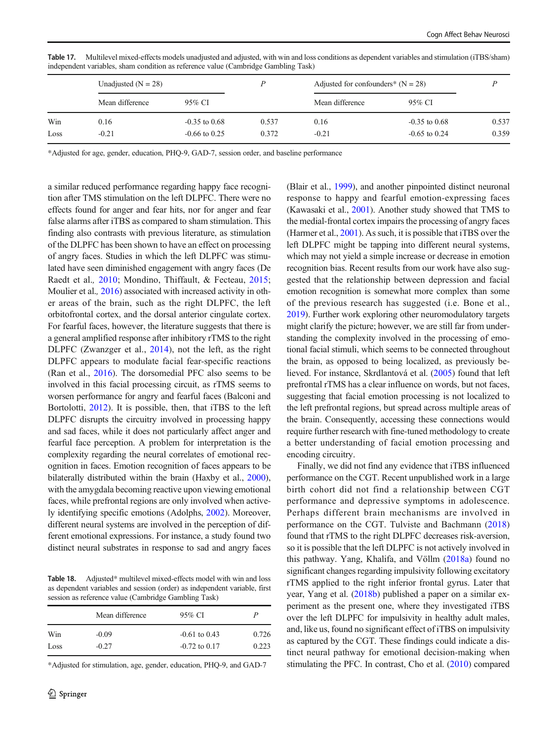|      | Unadjusted $(N = 28)$ |                   |       | Adjusted for confounders* $(N = 28)$ |                   |       |
|------|-----------------------|-------------------|-------|--------------------------------------|-------------------|-------|
|      | Mean difference       | 95% CI            |       | Mean difference                      | 95% CI            |       |
| Win  | 0.16                  | $-0.35$ to $0.68$ | 0.537 | 0.16                                 | $-0.35$ to $0.68$ | 0.537 |
| Loss | $-0.21$               | $-0.66$ to 0.25   | 0.372 | $-0.21$                              | $-0.65$ to 0.24   | 0.359 |

<span id="page-11-0"></span>Table 17. Multilevel mixed-effects models unadjusted and adjusted, with win and loss conditions as dependent variables and stimulation (iTBS/sham) independent variables, sham condition as reference value (Cambridge Gambling Task)

\*Adjusted for age, gender, education, PHQ-9, GAD-7, session order, and baseline performance

a similar reduced performance regarding happy face recognition after TMS stimulation on the left DLPFC. There were no effects found for anger and fear hits, nor for anger and fear false alarms after iTBS as compared to sham stimulation. This finding also contrasts with previous literature, as stimulation of the DLPFC has been shown to have an effect on processing of angry faces. Studies in which the left DLPFC was stimulated have seen diminished engagement with angry faces (De Raedt et al., [2010;](#page-13-0) Mondino, Thiffault, & Fecteau, [2015](#page-14-0); Moulier et al., [2016](#page-14-0)) associated with increased activity in other areas of the brain, such as the right DLPFC, the left orbitofrontal cortex, and the dorsal anterior cingulate cortex. For fearful faces, however, the literature suggests that there is a general amplified response after inhibitory rTMS to the right DLPFC (Zwanzger et al., [2014](#page-15-0)), not the left, as the right DLPFC appears to modulate facial fear-specific reactions (Ran et al., [2016\)](#page-14-0). The dorsomedial PFC also seems to be involved in this facial processing circuit, as rTMS seems to worsen performance for angry and fearful faces (Balconi and Bortolotti, [2012](#page-13-0)). It is possible, then, that iTBS to the left DLPFC disrupts the circuitry involved in processing happy and sad faces, while it does not particularly affect anger and fearful face perception. A problem for interpretation is the complexity regarding the neural correlates of emotional recognition in faces. Emotion recognition of faces appears to be bilaterally distributed within the brain (Haxby et al., [2000\)](#page-14-0), with the amygdala becoming reactive upon viewing emotional faces, while prefrontal regions are only involved when actively identifying specific emotions (Adolphs, [2002\)](#page-12-0). Moreover, different neural systems are involved in the perception of different emotional expressions. For instance, a study found two distinct neural substrates in response to sad and angry faces

Table 18. Adjusted\* multilevel mixed-effects model with win and loss as dependent variables and session (order) as independent variable, first session as reference value (Cambridge Gambling Task)

|      | Mean difference | 95% CI            | P     |
|------|-----------------|-------------------|-------|
| Win  | $-0.09$         | $-0.61$ to 0.43   | 0.726 |
| Loss | $-0.27$         | $-0.72$ to $0.17$ | 0.223 |

\*Adjusted for stimulation, age, gender, education, PHQ-9, and GAD-7

(Blair et al., [1999](#page-13-0)), and another pinpointed distinct neuronal response to happy and fearful emotion-expressing faces (Kawasaki et al., [2001](#page-14-0)). Another study showed that TMS to the medial-frontal cortex impairs the processing of angry faces (Harmer et al., [2001\)](#page-14-0). As such, it is possible that iTBS over the left DLPFC might be tapping into different neural systems, which may not yield a simple increase or decrease in emotion recognition bias. Recent results from our work have also suggested that the relationship between depression and facial emotion recognition is somewhat more complex than some of the previous research has suggested (i.e. Bone et al., [2019\)](#page-13-0). Further work exploring other neuromodulatory targets might clarify the picture; however, we are still far from understanding the complexity involved in the processing of emotional facial stimuli, which seems to be connected throughout the brain, as opposed to being localized, as previously believed. For instance, Skrdlantová et al. [\(2005\)](#page-15-0) found that left prefrontal rTMS has a clear influence on words, but not faces, suggesting that facial emotion processing is not localized to the left prefrontal regions, but spread across multiple areas of the brain. Consequently, accessing these connections would require further research with fine-tuned methodology to create a better understanding of facial emotion processing and encoding circuitry.

Finally, we did not find any evidence that iTBS influenced performance on the CGT. Recent unpublished work in a large birth cohort did not find a relationship between CGT performance and depressive symptoms in adolescence. Perhaps different brain mechanisms are involved in performance on the CGT. Tulviste and Bachmann ([2018](#page-15-0)) found that rTMS to the right DLPFC decreases risk-aversion, so it is possible that the left DLPFC is not actively involved in this pathway. Yang, Khalifa, and Völlm ([2018a\)](#page-15-0) found no significant changes regarding impulsivity following excitatory rTMS applied to the right inferior frontal gyrus. Later that year, Yang et al. [\(2018b\)](#page-15-0) published a paper on a similar experiment as the present one, where they investigated iTBS over the left DLPFC for impulsivity in healthy adult males, and, like us, found no significant effect of iTBS on impulsivity as captured by the CGT. These findings could indicate a distinct neural pathway for emotional decision-making when stimulating the PFC. In contrast, Cho et al. [\(2010\)](#page-13-0) compared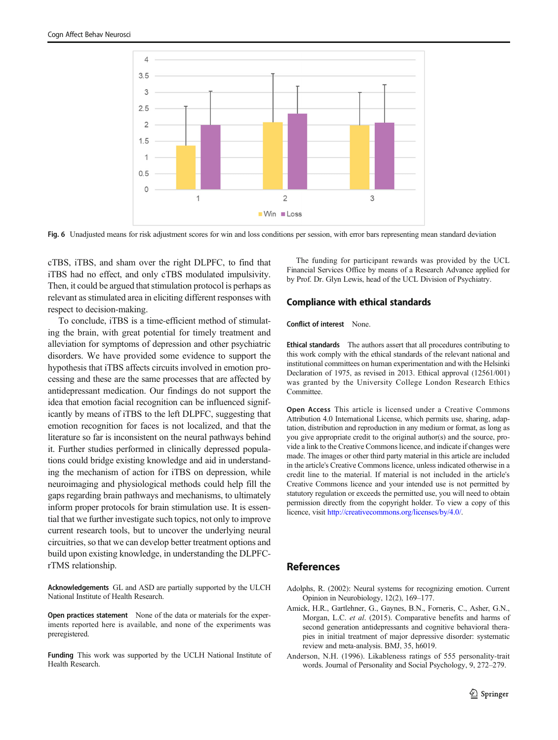<span id="page-12-0"></span>

Fig. 6 Unadjusted means for risk adjustment scores for win and loss conditions per session, with error bars representing mean standard deviation

cTBS, iTBS, and sham over the right DLPFC, to find that iTBS had no effect, and only cTBS modulated impulsivity. Then, it could be argued that stimulation protocol is perhaps as relevant as stimulated area in eliciting different responses with respect to decision-making.

To conclude, iTBS is a time-efficient method of stimulating the brain, with great potential for timely treatment and alleviation for symptoms of depression and other psychiatric disorders. We have provided some evidence to support the hypothesis that iTBS affects circuits involved in emotion processing and these are the same processes that are affected by antidepressant medication. Our findings do not support the idea that emotion facial recognition can be influenced significantly by means of iTBS to the left DLPFC, suggesting that emotion recognition for faces is not localized, and that the literature so far is inconsistent on the neural pathways behind it. Further studies performed in clinically depressed populations could bridge existing knowledge and aid in understanding the mechanism of action for iTBS on depression, while neuroimaging and physiological methods could help fill the gaps regarding brain pathways and mechanisms, to ultimately inform proper protocols for brain stimulation use. It is essential that we further investigate such topics, not only to improve current research tools, but to uncover the underlying neural circuitries, so that we can develop better treatment options and build upon existing knowledge, in understanding the DLPFCrTMS relationship.

Acknowledgements GL and ASD are partially supported by the ULCH National Institute of Health Research.

Open practices statement None of the data or materials for the experiments reported here is available, and none of the experiments was preregistered.

Funding This work was supported by the UCLH National Institute of Health Research.

The funding for participant rewards was provided by the UCL Financial Services Office by means of a Research Advance applied for by Prof. Dr. Glyn Lewis, head of the UCL Division of Psychiatry.

#### Compliance with ethical standards

#### Conflict of interest None.

Ethical standards The authors assert that all procedures contributing to this work comply with the ethical standards of the relevant national and institutional committees on human experimentation and with the Helsinki Declaration of 1975, as revised in 2013. Ethical approval (12561/001) was granted by the University College London Research Ethics Committee.

Open Access This article is licensed under a Creative Commons Attribution 4.0 International License, which permits use, sharing, adaptation, distribution and reproduction in any medium or format, as long as you give appropriate credit to the original author(s) and the source, provide a link to the Creative Commons licence, and indicate if changes were made. The images or other third party material in this article are included in the article's Creative Commons licence, unless indicated otherwise in a credit line to the material. If material is not included in the article's Creative Commons licence and your intended use is not permitted by statutory regulation or exceeds the permitted use, you will need to obtain permission directly from the copyright holder. To view a copy of this licence, visit [http://creativecommons.org/licenses/by/4.0/](https://doi.org/).

# References

- Adolphs, R. (2002): Neural systems for recognizing emotion. Current Opinion in Neurobiology, 12(2), 169–177.
- Amick, H.R., Gartlehner, G., Gaynes, B.N., Forneris, C., Asher, G.N., Morgan, L.C. et al. (2015). Comparative benefits and harms of second generation antidepressants and cognitive behavioral therapies in initial treatment of major depressive disorder: systematic review and meta-analysis. BMJ, 35, h6019.
- Anderson, N.H. (1996). Likableness ratings of 555 personality-trait words. Journal of Personality and Social Psychology, 9, 272–279.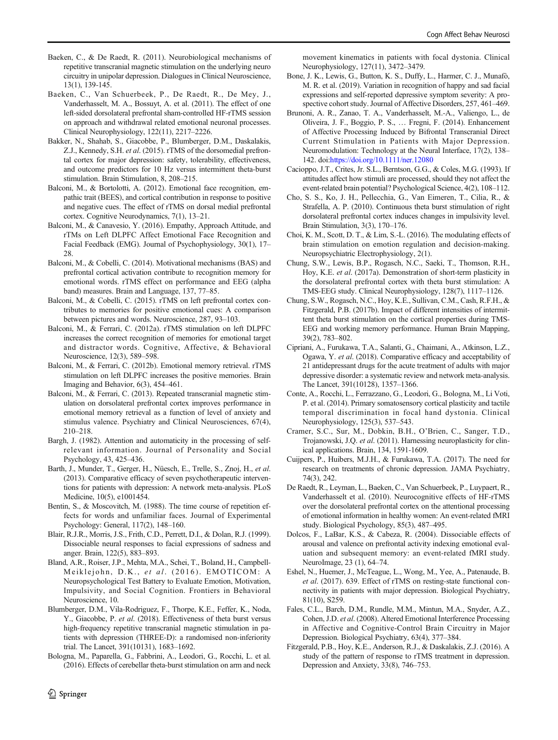- <span id="page-13-0"></span>Baeken, C., & De Raedt, R. (2011). Neurobiological mechanisms of repetitive transcranial magnetic stimulation on the underlying neuro circuitry in unipolar depression. Dialogues in Clinical Neuroscience, 13(1), 139-145.
- Baeken, C., Van Schuerbeek, P., De Raedt, R., De Mey, J., Vanderhasselt, M. A., Bossuyt, A. et al. (2011). The effect of one left-sided dorsolateral prefrontal sham-controlled HF-rTMS session on approach and withdrawal related emotional neuronal processes. Clinical Neurophysiology, 122(11), 2217–2226.
- Bakker, N., Shahab, S., Giacobbe, P., Blumberger, D.M., Daskalakis, Z.J., Kennedy, S.H. et al. (2015). rTMS of the dorsomedial prefrontal cortex for major depression: safety, tolerability, effectiveness, and outcome predictors for 10 Hz versus intermittent theta-burst stimulation. Brain Stimulation, 8, 208–215.
- Balconi, M., & Bortolotti, A. (2012). Emotional face recognition, empathic trait (BEES), and cortical contribution in response to positive and negative cues. The effect of rTMS on dorsal medial prefrontal cortex. Cognitive Neurodynamics, 7(1), 13–21.
- Balconi, M., & Canavesio, Y. (2016). Empathy, Approach Attitude, and rTMs on Left DLPFC Affect Emotional Face Recognition and Facial Feedback (EMG). Journal of Psychophysiology, 30(1), 17– 28.
- Balconi, M., & Cobelli, C. (2014). Motivational mechanisms (BAS) and prefrontal cortical activation contribute to recognition memory for emotional words. rTMS effect on performance and EEG (alpha band) measures. Brain and Language, 137, 77–85.
- Balconi, M., & Cobelli, C. (2015). rTMS on left prefrontal cortex contributes to memories for positive emotional cues: A comparison between pictures and words. Neuroscience, 287, 93–103.
- Balconi, M., & Ferrari, C. (2012a). rTMS stimulation on left DLPFC increases the correct recognition of memories for emotional target and distractor words. Cognitive, Affective, & Behavioral Neuroscience, 12(3), 589–598.
- Balconi, M., & Ferrari, C. (2012b). Emotional memory retrieval. rTMS stimulation on left DLPFC increases the positive memories. Brain Imaging and Behavior, 6(3), 454–461.
- Balconi, M., & Ferrari, C. (2013). Repeated transcranial magnetic stimulation on dorsolateral prefrontal cortex improves performance in emotional memory retrieval as a function of level of anxiety and stimulus valence. Psychiatry and Clinical Neurosciences, 67(4), 210–218.
- Bargh, J. (1982). Attention and automaticity in the processing of selfrelevant information. Journal of Personality and Social Psychology, 43, 425–436.
- Barth, J., Munder, T., Gerger, H., Nüesch, E., Trelle, S., Znoj, H., et al. (2013). Comparative efficacy of seven psychotherapeutic interventions for patients with depression: A network meta-analysis. PLoS Medicine, 10(5), e1001454.
- Bentin, S., & Moscovitch, M. (1988). The time course of repetition effects for words and unfamiliar faces. Journal of Experimental Psychology: General, 117(2), 148–160.
- Blair, R.J.R., Morris, J.S., Frith, C.D., Perrett, D.I., & Dolan, R.J. (1999). Dissociable neural responses to facial expressions of sadness and anger. Brain, 122(5), 883–893.
- Bland, A.R., Roiser, J.P., Mehta, M.A., Schei, T., Boland, H., Campbell-Meiklejohn, D.K., et al. (2016). EMOTICOM: A Neuropsychological Test Battery to Evaluate Emotion, Motivation, Impulsivity, and Social Cognition. Frontiers in Behavioral Neuroscience, 10.
- Blumberger, D.M., Vila-Rodriguez, F., Thorpe, K.E., Feffer, K., Noda, Y., Giacobbe, P. et al. (2018). Effectiveness of theta burst versus high-frequency repetitive transcranial magnetic stimulation in patients with depression (THREE-D): a randomised non-inferiority trial. The Lancet, 391(10131), 1683–1692.
- Bologna, M., Paparella, G., Fabbrini, A., Leodori, G., Rocchi, L. et al. (2016). Effects of cerebellar theta-burst stimulation on arm and neck

movement kinematics in patients with focal dystonia. Clinical Neurophysiology, 127(11), 3472–3479.

- Bone, J. K., Lewis, G., Button, K. S., Duffy, L., Harmer, C. J., Munafò, M. R. et al. (2019). Variation in recognition of happy and sad facial expressions and self-reported depressive symptom severity: A prospective cohort study. Journal of Affective Disorders, 257, 461–469.
- Brunoni, A. R., Zanao, T. A., Vanderhasselt, M.-A., Valiengo, L., de Oliveira, J. F., Boggio, P. S., … Fregni, F. (2014). Enhancement of Affective Processing Induced by Bifrontal Transcranial Direct Current Stimulation in Patients with Major Depression. Neuromodulation: Technology at the Neural Interface, 17(2), 138– 142. doi[:https://doi.org/10.1111/ner.12080](https://doi.org/10.1111/ner.12080)
- Cacioppo, J.T., Crites, Jr. S.L., Berntson, G.G., & Coles, M.G. (1993). If attitudes affect how stimuli are processed, should they not affect the event-related brain potential? Psychological Science, 4(2), 108–112.
- Cho, S. S., Ko, J. H., Pellecchia, G., Van Eimeren, T., Cilia, R., & Strafella, A. P. (2010). Continuous theta burst stimulation of right dorsolateral prefrontal cortex induces changes in impulsivity level. Brain Stimulation, 3(3), 170–176.
- Choi, K. M., Scott, D. T., & Lim, S.-L. (2016). The modulating effects of brain stimulation on emotion regulation and decision-making. Neuropsychiatric Electrophysiology, 2(1).
- Chung, S.W., Lewis, B.P., Rogasch, N.C., Saeki, T., Thomson, R.H., Hoy, K.E. et al. (2017a). Demonstration of short-term plasticity in the dorsolateral prefrontal cortex with theta burst stimulation: A TMS-EEG study. Clinical Neurophysiology, 128(7), 1117–1126.
- Chung, S.W., Rogasch, N.C., Hoy, K.E., Sullivan, C.M., Cash, R.F.H., & Fitzgerald, P.B. (2017b). Impact of different intensities of intermittent theta burst stimulation on the cortical properties during TMS-EEG and working memory performance. Human Brain Mapping, 39(2), 783–802.
- Cipriani, A., Furukawa, T.A., Salanti, G., Chaimani, A., Atkinson, L.Z., Ogawa, Y. et al. (2018). Comparative efficacy and acceptability of 21 antidepressant drugs for the acute treatment of adults with major depressive disorder: a systematic review and network meta-analysis. The Lancet, 391(10128), 1357–1366.
- Conte, A., Rocchi, L., Ferrazzano, G., Leodori, G., Bologna, M., Li Voti, P. et al. (2014). Primary somatosensory cortical plasticity and tactile temporal discrimination in focal hand dystonia. Clinical Neurophysiology, 125(3), 537–543.
- Cramer, S.C., Sur, M., Dobkin, B.H., O'Brien, C., Sanger, T.D., Trojanowski, J.Q. et al. (2011). Harnessing neuroplasticity for clinical applications. Brain, 134, 1591-1609.
- Cuijpers, P., Huibers, M.J.H., & Furukawa, T.A. (2017). The need for research on treatments of chronic depression. JAMA Psychiatry, 74(3), 242.
- De Raedt, R., Leyman, L., Baeken, C., Van Schuerbeek, P., Luypaert, R., Vanderhasselt et al. (2010). Neurocognitive effects of HF-rTMS over the dorsolateral prefrontal cortex on the attentional processing of emotional information in healthy women: An event-related fMRI study. Biological Psychology, 85(3), 487–495.
- Dolcos, F., LaBar, K.S., & Cabeza, R. (2004). Dissociable effects of arousal and valence on prefrontal activity indexing emotional evaluation and subsequent memory: an event-related fMRI study. NeuroImage, 23 (1), 64–74.
- Eshel, N., Huemer, J., McTeague, L., Wong, M., Yee, A., Patenaude, B. et al. (2017). 639. Effect of rTMS on resting-state functional connectivity in patients with major depression. Biological Psychiatry, 81(10), S259.
- Fales, C.L., Barch, D.M., Rundle, M.M., Mintun, M.A., Snyder, A.Z., Cohen, J.D. et al. (2008). Altered Emotional Interference Processing in Affective and Cognitive-Control Brain Circuitry in Major Depression. Biological Psychiatry, 63(4), 377–384.
- Fitzgerald, P.B., Hoy, K.E., Anderson, R.J., & Daskalakis, Z.J. (2016). A study of the pattern of response to rTMS treatment in depression. Depression and Anxiety, 33(8), 746–753.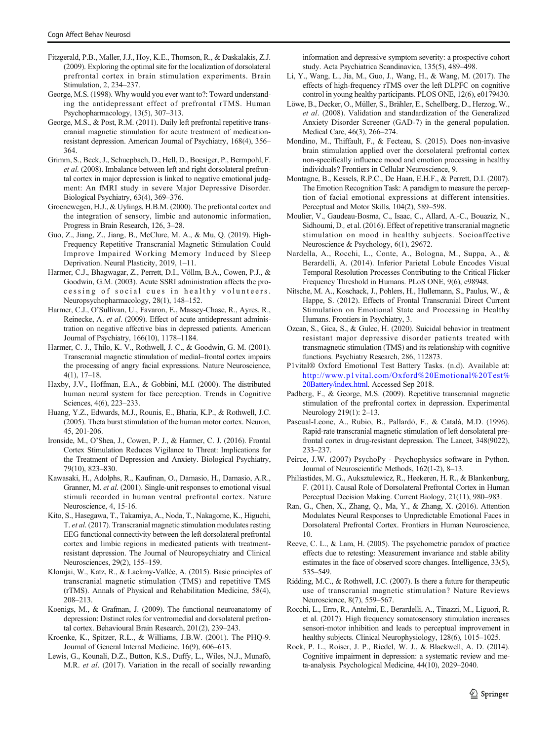- <span id="page-14-0"></span>Fitzgerald, P.B., Maller, J.J., Hoy, K.E., Thomson, R., & Daskalakis, Z.J. (2009). Exploring the optimal site for the localization of dorsolateral prefrontal cortex in brain stimulation experiments. Brain Stimulation, 2, 234–237.
- George, M.S. (1998). Why would you ever want to?: Toward understanding the antidepressant effect of prefrontal rTMS. Human Psychopharmacology, 13(5), 307–313.
- George, M.S., & Post, R.M. (2011). Daily left prefrontal repetitive transcranial magnetic stimulation for acute treatment of medicationresistant depression. American Journal of Psychiatry, 168(4), 356– 364.
- Grimm, S., Beck, J., Schuepbach, D., Hell, D., Boesiger, P., Bermpohl, F. et al. (2008). Imbalance between left and right dorsolateral prefrontal cortex in major depression is linked to negative emotional judgment: An fMRI study in severe Major Depressive Disorder. Biological Psychiatry, 63(4), 369–376.
- Groenewegen, H.J., & Uylings, H.B.M. (2000). The prefrontal cortex and the integration of sensory, limbic and autonomic information, Progress in Brain Research, 126, 3–28.
- Guo, Z., Jiang, Z., Jiang, B., McClure, M. A., & Mu, Q. (2019). High-Frequency Repetitive Transcranial Magnetic Stimulation Could Improve Impaired Working Memory Induced by Sleep Deprivation. Neural Plasticity, 2019, 1–11.
- Harmer, C.J., Bhagwagar, Z., Perrett, D.I., Völlm, B.A., Cowen, P.J., & Goodwin, G.M. (2003). Acute SSRI administration affects the processing of social cues in healthy volunteers. Neuropsychopharmacology, 28(1), 148–152.
- Harmer, C.J., O'Sullivan, U., Favaron, E., Massey-Chase, R., Ayres, R., Reinecke, A. et al. (2009). Effect of acute antidepressant administration on negative affective bias in depressed patients. American Journal of Psychiatry, 166(10), 1178–1184.
- Harmer, C. J., Thilo, K. V., Rothwell, J. C., & Goodwin, G. M. (2001). Transcranial magnetic stimulation of medial–frontal cortex impairs the processing of angry facial expressions. Nature Neuroscience, 4(1), 17–18.
- Haxby, J.V., Hoffman, E.A., & Gobbini, M.I. (2000). The distributed human neural system for face perception. Trends in Cognitive Sciences, 4(6), 223-233.
- Huang, Y.Z., Edwards, M.J., Rounis, E., Bhatia, K.P., & Rothwell, J.C. (2005). Theta burst stimulation of the human motor cortex. Neuron, 45, 201-206.
- Ironside, M., O'Shea, J., Cowen, P. J., & Harmer, C. J. (2016). Frontal Cortex Stimulation Reduces Vigilance to Threat: Implications for the Treatment of Depression and Anxiety. Biological Psychiatry, 79(10), 823–830.
- Kawasaki, H., Adolphs, R., Kaufman, O., Damasio, H., Damasio, A.R., Granner, M. et al. (2001). Single-unit responses to emotional visual stimuli recorded in human ventral prefrontal cortex. Nature Neuroscience, 4, 15-16.
- Kito, S., Hasegawa, T., Takamiya, A., Noda, T., Nakagome, K., Higuchi, T. et al. (2017). Transcranial magnetic stimulation modulates resting EEG functional connectivity between the left dorsolateral prefrontal cortex and limbic regions in medicated patients with treatmentresistant depression. The Journal of Neuropsychiatry and Clinical Neurosciences, 29(2), 155–159.
- Klomjai, W., Katz, R., & Lackmy-Vallée, A. (2015). Basic principles of transcranial magnetic stimulation (TMS) and repetitive TMS (rTMS). Annals of Physical and Rehabilitation Medicine, 58(4), 208–213.
- Koenigs, M., & Grafman, J. (2009). The functional neuroanatomy of depression: Distinct roles for ventromedial and dorsolateral prefrontal cortex. Behavioural Brain Research, 201(2), 239–243.
- Kroenke, K., Spitzer, R.L., & Williams, J.B.W. (2001). The PHQ-9. Journal of General Internal Medicine, 16(9), 606–613.
- Lewis, G., Kounali, D.Z., Button, K.S., Duffy, L., Wiles, N.J., Munafò, M.R. et al. (2017). Variation in the recall of socially rewarding

information and depressive symptom severity: a prospective cohort study. Acta Psychiatrica Scandinavica, 135(5), 489–498.

- Li, Y., Wang, L., Jia, M., Guo, J., Wang, H., & Wang, M. (2017). The effects of high-frequency rTMS over the left DLPFC on cognitive control in young healthy participants. PLOS ONE, 12(6), e0179430.
- Löwe, B., Decker, O., Müller, S., Brähler, E., Schellberg, D., Herzog, W., et al. (2008). Validation and standardization of the Generalized Anxiety Disorder Screener (GAD-7) in the general population. Medical Care, 46(3), 266–274.
- Mondino, M., Thiffault, F., & Fecteau, S. (2015). Does non-invasive brain stimulation applied over the dorsolateral prefrontal cortex non-specifically influence mood and emotion processing in healthy individuals? Frontiers in Cellular Neuroscience, 9.
- Montagne, B., Kessels, R.P.C., De Haan, E.H.F., & Perrett, D.I. (2007). The Emotion Recognition Task: A paradigm to measure the perception of facial emotional expressions at different intensities. Perceptual and Motor Skills, 104(2), 589–598.
- Moulier, V., Gaudeau-Bosma, C., Isaac, C., Allard, A.-C., Bouaziz, N., Sidhoumi, D., et al. (2016). Effect of repetitive transcranial magnetic stimulation on mood in healthy subjects. Socioaffective Neuroscience & Psychology, 6(1), 29672.
- Nardella, A., Rocchi, L., Conte, A., Bologna, M., Suppa, A., & Berardelli, A. (2014). Inferior Parietal Lobule Encodes Visual Temporal Resolution Processes Contributing to the Critical Flicker Frequency Threshold in Humans. PLoS ONE, 9(6), e98948.
- Nitsche, M. A., Koschack, J., Pohlers, H., Hullemann, S., Paulus, W., & Happe, S. (2012). Effects of Frontal Transcranial Direct Current Stimulation on Emotional State and Processing in Healthy Humans. Frontiers in Psychiatry, 3.
- Ozcan, S., Gica, S., & Gulec, H. (2020). Suicidal behavior in treatment resistant major depressive disorder patients treated with transmagnetic stimulation (TMS) and its relationship with cognitive functions. Psychiatry Research, 286, 112873.
- P1vital® Oxford Emotional Test Battery Tasks. (n.d). Available at: [http://www.p1vital.com/Oxford%20Emotional%20Test%](http://www.p1vital.com/Oxford%20Emotional%20Test%20Battery/index.html) [20Battery/index.html.](http://www.p1vital.com/Oxford%20Emotional%20Test%20Battery/index.html) Accessed Sep 2018.
- Padberg, F., & George, M.S. (2009). Repetitive transcranial magnetic stimulation of the prefrontal cortex in depression. Experimental Neurology 219(1): 2–13.
- Pascual-Leone, A., Rubio, B., Pallardó, F., & Catalá, M.D. (1996). Rapid-rate transcranial magnetic stimulation of left dorsolateral prefrontal cortex in drug-resistant depression. The Lancet, 348(9022), 233–237.
- Peirce, J.W. (2007) PsychoPy Psychophysics software in Python. Journal of Neuroscientific Methods, 162(1-2), 8–13.
- Philiastides, M. G., Auksztulewicz, R., Heekeren, H. R., & Blankenburg, F. (2011). Causal Role of Dorsolateral Prefrontal Cortex in Human Perceptual Decision Making. Current Biology, 21(11), 980–983.
- Ran, G., Chen, X., Zhang, Q., Ma, Y., & Zhang, X. (2016). Attention Modulates Neural Responses to Unpredictable Emotional Faces in Dorsolateral Prefrontal Cortex. Frontiers in Human Neuroscience, 10.
- Reeve, C. L., & Lam, H. (2005). The psychometric paradox of practice effects due to retesting: Measurement invariance and stable ability estimates in the face of observed score changes. Intelligence, 33(5), 535–549.
- Ridding, M.C., & Rothwell, J.C. (2007). Is there a future for therapeutic use of transcranial magnetic stimulation? Nature Reviews Neuroscience, 8(7), 559–567.
- Rocchi, L., Erro, R., Antelmi, E., Berardelli, A., Tinazzi, M., Liguori, R. et al. (2017). High frequency somatosensory stimulation increases sensori-motor inhibition and leads to perceptual improvement in healthy subjects. Clinical Neurophysiology, 128(6), 1015–1025.
- Rock, P. L., Roiser, J. P., Riedel, W. J., & Blackwell, A. D. (2014). Cognitive impairment in depression: a systematic review and meta-analysis. Psychological Medicine, 44(10), 2029–2040.